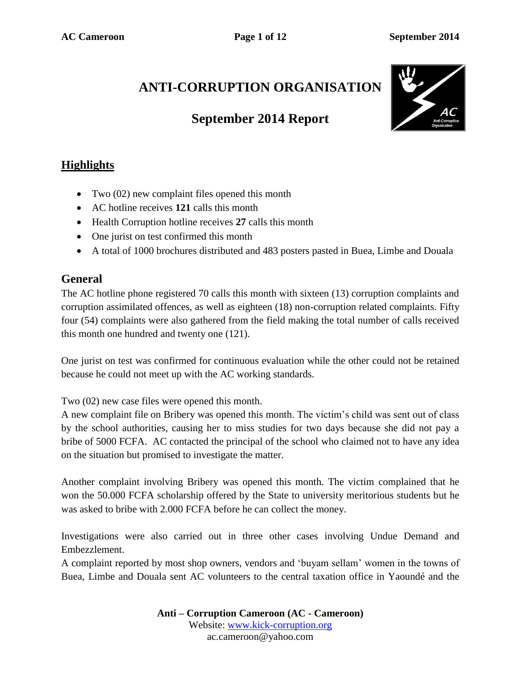# **ANTI-CORRUPTION ORGANISATION**

# **September 2014 Report**



# **Highlights**

- Two (02) new complaint files opened this month
- AC hotline receives **121** calls this month
- Health Corruption hotline receives **27** calls this month
- One jurist on test confirmed this month
- A total of 1000 brochures distributed and 483 posters pasted in Buea, Limbe and Douala

#### **General**

The AC hotline phone registered 70 calls this month with sixteen (13) corruption complaints and corruption assimilated offences, as well as eighteen (18) non-corruption related complaints. Fifty four (54) complaints were also gathered from the field making the total number of calls received this month one hundred and twenty one (121).

One jurist on test was confirmed for continuous evaluation while the other could not be retained because he could not meet up with the AC working standards.

Two (02) new case files were opened this month.

A new complaint file on Bribery was opened this month. The victim's child was sent out of class by the school authorities, causing her to miss studies for two days because she did not pay a bribe of 5000 FCFA. AC contacted the principal of the school who claimed not to have any idea on the situation but promised to investigate the matter.

Another complaint involving Bribery was opened this month. The victim complained that he won the 50.000 FCFA scholarship offered by the State to university meritorious students but he was asked to bribe with 2.000 FCFA before he can collect the money.

Investigations were also carried out in three other cases involving Undue Demand and Embezzlement.

A complaint reported by most shop owners, vendors and 'buyam sellam' women in the towns of Buea, Limbe and Douala sent AC volunteers to the central taxation office in Yaoundé and the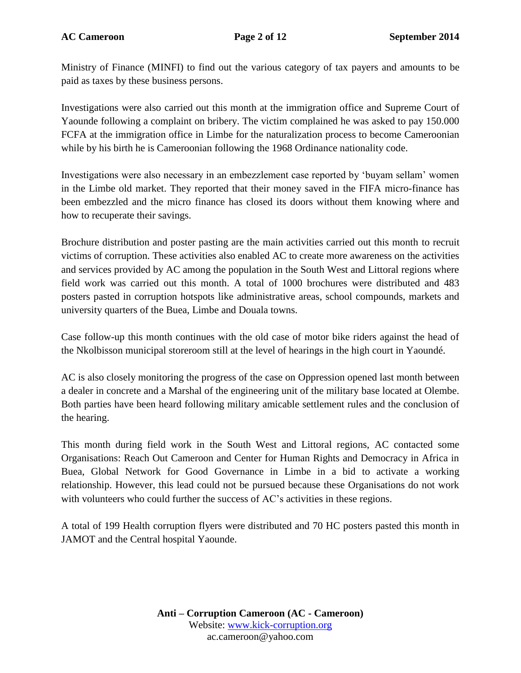Ministry of Finance (MINFI) to find out the various category of tax payers and amounts to be paid as taxes by these business persons.

Investigations were also carried out this month at the immigration office and Supreme Court of Yaounde following a complaint on bribery. The victim complained he was asked to pay 150.000 FCFA at the immigration office in Limbe for the naturalization process to become Cameroonian while by his birth he is Cameroonian following the 1968 Ordinance nationality code.

Investigations were also necessary in an embezzlement case reported by 'buyam sellam' women in the Limbe old market. They reported that their money saved in the FIFA micro-finance has been embezzled and the micro finance has closed its doors without them knowing where and how to recuperate their savings.

Brochure distribution and poster pasting are the main activities carried out this month to recruit victims of corruption. These activities also enabled AC to create more awareness on the activities and services provided by AC among the population in the South West and Littoral regions where field work was carried out this month. A total of 1000 brochures were distributed and 483 posters pasted in corruption hotspots like administrative areas, school compounds, markets and university quarters of the Buea, Limbe and Douala towns.

Case follow-up this month continues with the old case of motor bike riders against the head of the Nkolbisson municipal storeroom still at the level of hearings in the high court in Yaoundé.

AC is also closely monitoring the progress of the case on Oppression opened last month between a dealer in concrete and a Marshal of the engineering unit of the military base located at Olembe. Both parties have been heard following military amicable settlement rules and the conclusion of the hearing.

This month during field work in the South West and Littoral regions, AC contacted some Organisations: Reach Out Cameroon and Center for Human Rights and Democracy in Africa in Buea, Global Network for Good Governance in Limbe in a bid to activate a working relationship. However, this lead could not be pursued because these Organisations do not work with volunteers who could further the success of AC's activities in these regions.

A total of 199 Health corruption flyers were distributed and 70 HC posters pasted this month in JAMOT and the Central hospital Yaounde.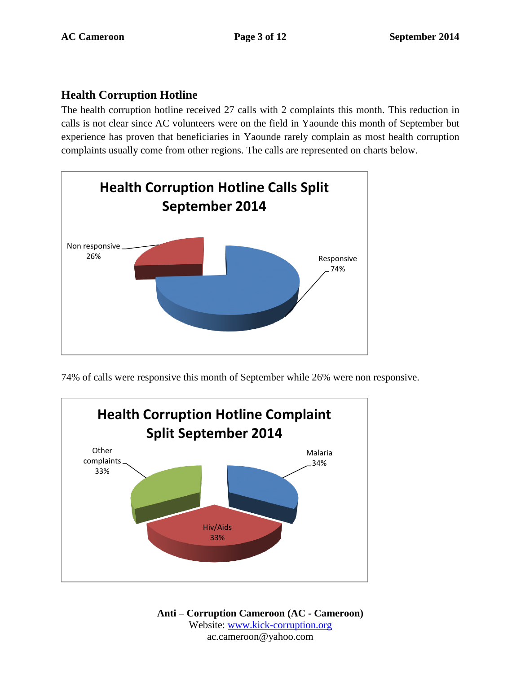## **Health Corruption Hotline**

The health corruption hotline received 27 calls with 2 complaints this month. This reduction in calls is not clear since AC volunteers were on the field in Yaounde this month of September but experience has proven that beneficiaries in Yaounde rarely complain as most health corruption complaints usually come from other regions. The calls are represented on charts below.



74% of calls were responsive this month of September while 26% were non responsive.

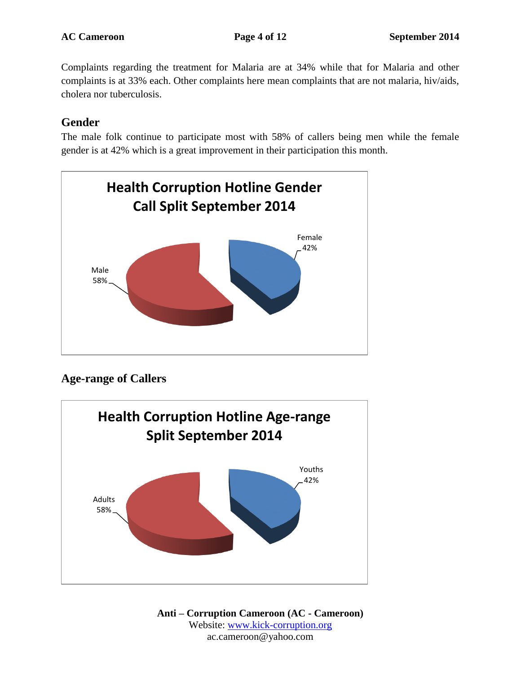Complaints regarding the treatment for Malaria are at 34% while that for Malaria and other complaints is at 33% each. Other complaints here mean complaints that are not malaria, hiv/aids, cholera nor tuberculosis.

#### **Gender**

The male folk continue to participate most with 58% of callers being men while the female gender is at 42% which is a great improvement in their participation this month.



# **Age-range of Callers**

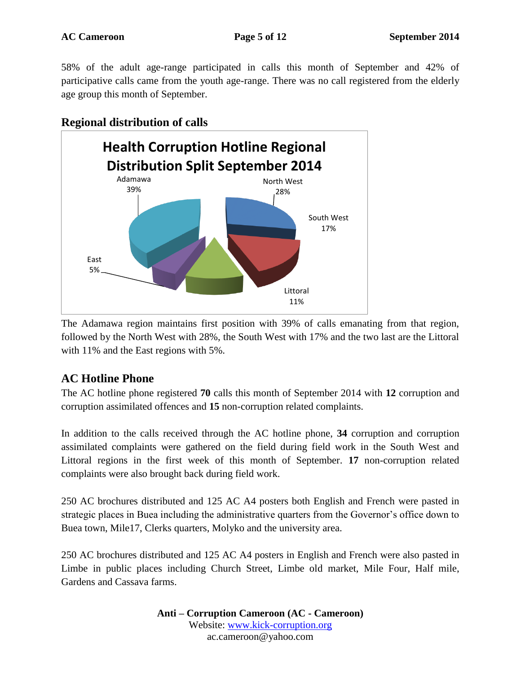58% of the adult age-range participated in calls this month of September and 42% of participative calls came from the youth age-range. There was no call registered from the elderly age group this month of September.



#### **Regional distribution of calls**

The Adamawa region maintains first position with 39% of calls emanating from that region, followed by the North West with 28%, the South West with 17% and the two last are the Littoral with 11% and the East regions with 5%.

### **AC Hotline Phone**

The AC hotline phone registered **70** calls this month of September 2014 with **12** corruption and corruption assimilated offences and **15** non-corruption related complaints.

In addition to the calls received through the AC hotline phone, **34** corruption and corruption assimilated complaints were gathered on the field during field work in the South West and Littoral regions in the first week of this month of September. **17** non-corruption related complaints were also brought back during field work.

250 AC brochures distributed and 125 AC A4 posters both English and French were pasted in strategic places in Buea including the administrative quarters from the Governor's office down to Buea town, Mile17, Clerks quarters, Molyko and the university area.

250 AC brochures distributed and 125 AC A4 posters in English and French were also pasted in Limbe in public places including Church Street, Limbe old market, Mile Four, Half mile, Gardens and Cassava farms.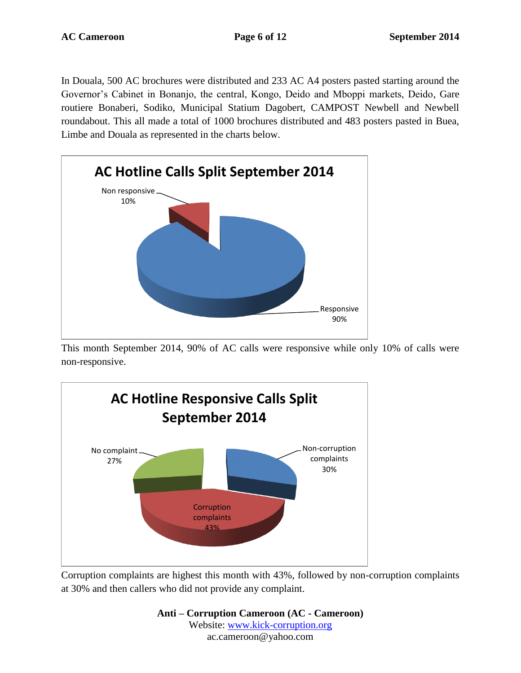In Douala, 500 AC brochures were distributed and 233 AC A4 posters pasted starting around the Governor's Cabinet in Bonanjo, the central, Kongo, Deido and Mboppi markets, Deido, Gare routiere Bonaberi, Sodiko, Municipal Statium Dagobert, CAMPOST Newbell and Newbell roundabout. This all made a total of 1000 brochures distributed and 483 posters pasted in Buea, Limbe and Douala as represented in the charts below.



This month September 2014, 90% of AC calls were responsive while only 10% of calls were non-responsive.



Corruption complaints are highest this month with 43%, followed by non-corruption complaints at 30% and then callers who did not provide any complaint.

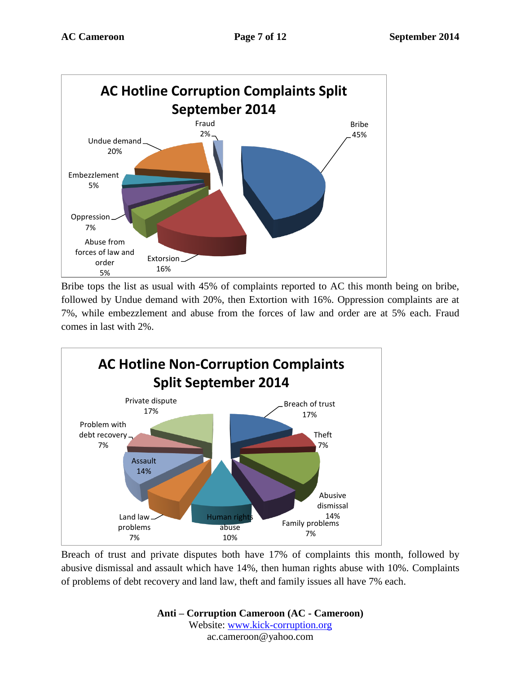

Bribe tops the list as usual with 45% of complaints reported to AC this month being on bribe, followed by Undue demand with 20%, then Extortion with 16%. Oppression complaints are at 7%, while embezzlement and abuse from the forces of law and order are at 5% each. Fraud comes in last with 2%.



Breach of trust and private disputes both have 17% of complaints this month, followed by abusive dismissal and assault which have 14%, then human rights abuse with 10%. Complaints of problems of debt recovery and land law, theft and family issues all have 7% each.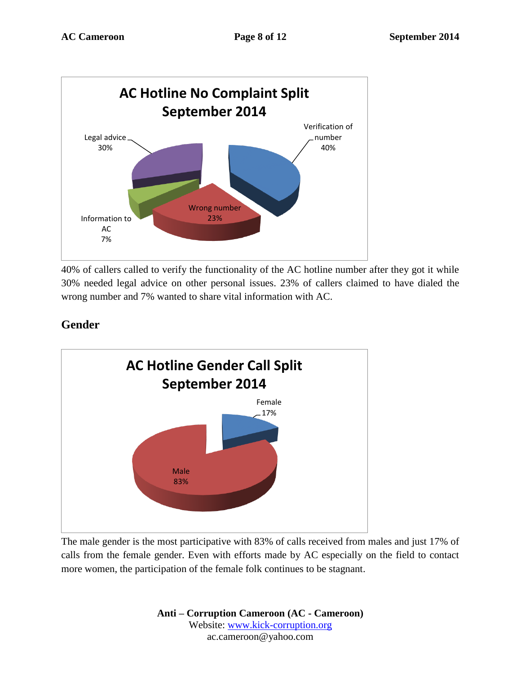

40% of callers called to verify the functionality of the AC hotline number after they got it while 30% needed legal advice on other personal issues. 23% of callers claimed to have dialed the wrong number and 7% wanted to share vital information with AC.

# **Gender**



The male gender is the most participative with 83% of calls received from males and just 17% of calls from the female gender. Even with efforts made by AC especially on the field to contact more women, the participation of the female folk continues to be stagnant.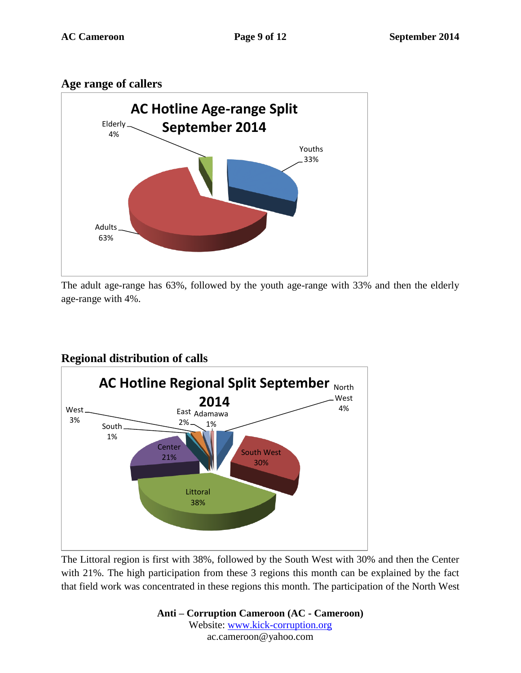#### **Age range of callers**



The adult age-range has 63%, followed by the youth age-range with 33% and then the elderly age-range with 4%.

### **Regional distribution of calls**



The Littoral region is first with 38%, followed by the South West with 30% and then the Center with 21%. The high participation from these 3 regions this month can be explained by the fact that field work was concentrated in these regions this month. The participation of the North West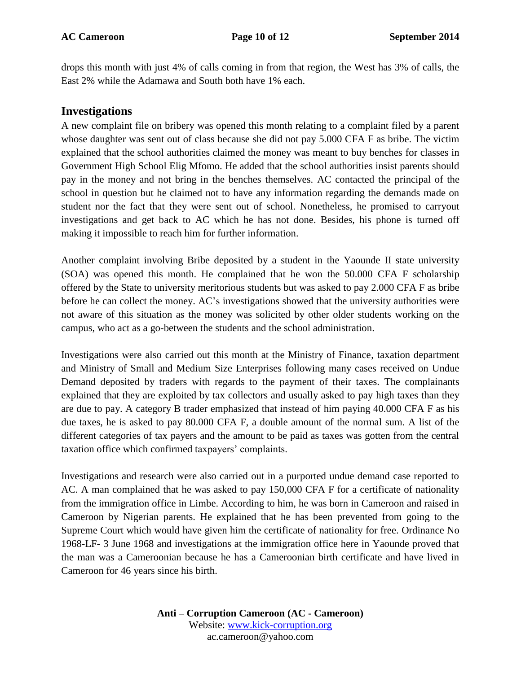drops this month with just 4% of calls coming in from that region, the West has 3% of calls, the East 2% while the Adamawa and South both have 1% each.

#### **Investigations**

A new complaint file on bribery was opened this month relating to a complaint filed by a parent whose daughter was sent out of class because she did not pay 5.000 CFA F as bribe. The victim explained that the school authorities claimed the money was meant to buy benches for classes in Government High School Elig Mfomo. He added that the school authorities insist parents should pay in the money and not bring in the benches themselves. AC contacted the principal of the school in question but he claimed not to have any information regarding the demands made on student nor the fact that they were sent out of school. Nonetheless, he promised to carryout investigations and get back to AC which he has not done. Besides, his phone is turned off making it impossible to reach him for further information.

Another complaint involving Bribe deposited by a student in the Yaounde II state university (SOA) was opened this month. He complained that he won the 50.000 CFA F scholarship offered by the State to university meritorious students but was asked to pay 2.000 CFA F as bribe before he can collect the money. AC's investigations showed that the university authorities were not aware of this situation as the money was solicited by other older students working on the campus, who act as a go-between the students and the school administration.

Investigations were also carried out this month at the Ministry of Finance, taxation department and Ministry of Small and Medium Size Enterprises following many cases received on Undue Demand deposited by traders with regards to the payment of their taxes. The complainants explained that they are exploited by tax collectors and usually asked to pay high taxes than they are due to pay. A category B trader emphasized that instead of him paying 40.000 CFA F as his due taxes, he is asked to pay 80.000 CFA F, a double amount of the normal sum. A list of the different categories of tax payers and the amount to be paid as taxes was gotten from the central taxation office which confirmed taxpayers' complaints.

Investigations and research were also carried out in a purported undue demand case reported to AC. A man complained that he was asked to pay 150,000 CFA F for a certificate of nationality from the immigration office in Limbe. According to him, he was born in Cameroon and raised in Cameroon by Nigerian parents. He explained that he has been prevented from going to the Supreme Court which would have given him the certificate of nationality for free. Ordinance No 1968-LF- 3 June 1968 and investigations at the immigration office here in Yaounde proved that the man was a Cameroonian because he has a Cameroonian birth certificate and have lived in Cameroon for 46 years since his birth.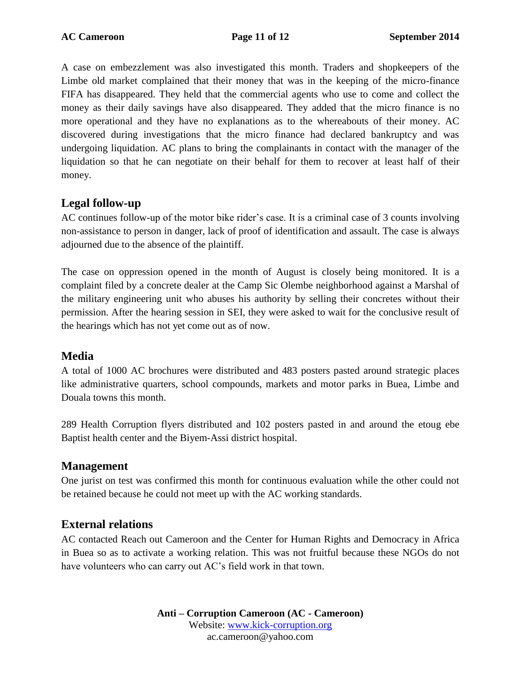A case on embezzlement was also investigated this month. Traders and shopkeepers of the Limbe old market complained that their money that was in the keeping of the micro-finance FIFA has disappeared. They held that the commercial agents who use to come and collect the money as their daily savings have also disappeared. They added that the micro finance is no more operational and they have no explanations as to the whereabouts of their money. AC discovered during investigations that the micro finance had declared bankruptcy and was undergoing liquidation. AC plans to bring the complainants in contact with the manager of the liquidation so that he can negotiate on their behalf for them to recover at least half of their money.

#### **Legal follow-up**

AC continues follow-up of the motor bike rider's case. It is a criminal case of 3 counts involving non-assistance to person in danger, lack of proof of identification and assault. The case is always adjourned due to the absence of the plaintiff.

The case on oppression opened in the month of August is closely being monitored. It is a complaint filed by a concrete dealer at the Camp Sic Olembe neighborhood against a Marshal of the military engineering unit who abuses his authority by selling their concretes without their permission. After the hearing session in SEI, they were asked to wait for the conclusive result of the hearings which has not yet come out as of now.

#### **Media**

A total of 1000 AC brochures were distributed and 483 posters pasted around strategic places like administrative quarters, school compounds, markets and motor parks in Buea, Limbe and Douala towns this month.

289 Health Corruption flyers distributed and 102 posters pasted in and around the etoug ebe Baptist health center and the Biyem-Assi district hospital.

#### **Management**

One jurist on test was confirmed this month for continuous evaluation while the other could not be retained because he could not meet up with the AC working standards.

### **External relations**

AC contacted Reach out Cameroon and the Center for Human Rights and Democracy in Africa in Buea so as to activate a working relation. This was not fruitful because these NGOs do not have volunteers who can carry out AC's field work in that town.